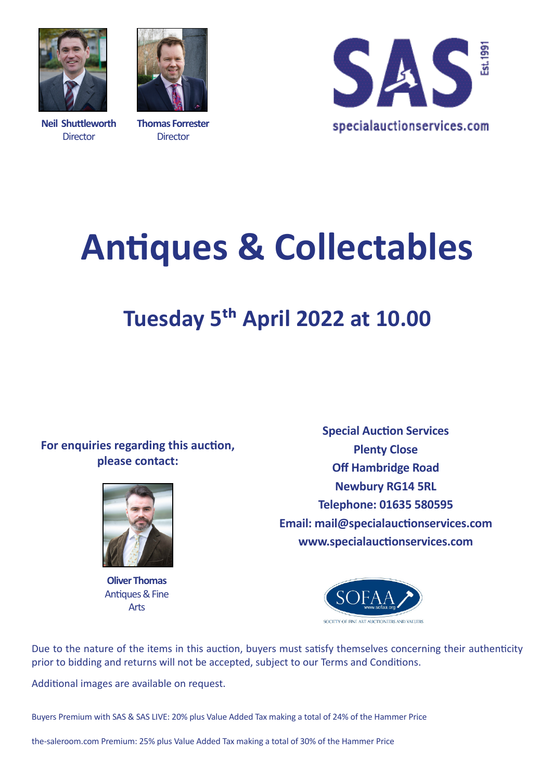

**Neil Shuttleworth Director** 



**Thomas Forrester Director** 



# **Antiques & Collectables**

## **Tuesday 5th April 2022 at 10.00**

### **For enquiries regarding this auction, please contact:**



**Oliver Thomas** Antiques & Fine Arts

**Special Auction Services Plenty Close Off Hambridge Road Newbury RG14 5RL Telephone: 01635 580595 Email: mail@specialauctionservices.com www.specialauctionservices.com**



Due to the nature of the items in this auction, buyers must satisfy themselves concerning their authenticity prior to bidding and returns will not be accepted, subject to our Terms and Conditions.

Additional images are available on request.

Buyers Premium with SAS & SAS LIVE: 20% plus Value Added Tax making a total of 24% of the Hammer Price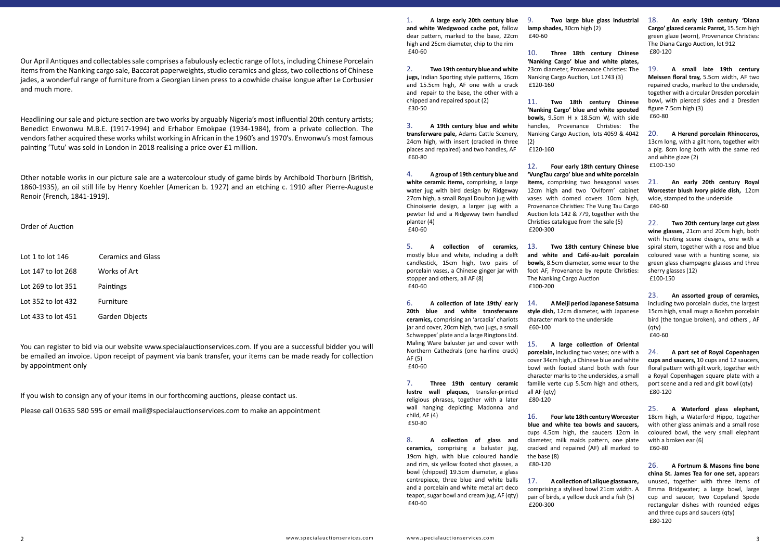Our April Antiques and collectables sale comprises a fabulously eclectic range of lots, including Chinese Porcelain items from the Nanking cargo sale, Baccarat paperweights, studio ceramics and glass, two collections of Chinese jades, a wonderful range of furniture from a Georgian Linen press to a cowhide chaise longue after Le Corbusier and much more.

Headlining our sale and picture section are two works by arguably Nigeria's most influential 20th century artists; Benedict Enwonwu M.B.E. (1917-1994) and Erhabor Emokpae (1934-1984), from a private collection. The vendors father acquired these works whilst working in African in the 1960's and 1970's. Enwonwu's most famous painting 'Tutu' was sold in London in 2018 realising a price over £1 million.

Other notable works in our picture sale are a watercolour study of game birds by Archibold Thorburn (British, 1860-1935), an oil still life by Henry Koehler (American b. 1927) and an etching c. 1910 after Pierre-Auguste Renoir (French, 1841-1919).

Order of Auction

| Lot 1 to lot 146   | <b>Ceramics and Glass</b> |
|--------------------|---------------------------|
| Lot 147 to lot 268 | Works of Art              |
| Lot 269 to lot 351 | Paintings                 |
| Lot 352 to lot 432 | Furniture                 |
| Lot 433 to lot 451 | Garden Objects            |

You can register to bid via our website www.specialauctionservices.com. If you are a successful bidder you will be emailed an invoice. Upon receipt of payment via bank transfer, your items can be made ready for collection by appointment only

If you wish to consign any of your items in our forthcoming auctions, please contact us.

Please call 01635 580 595 or email mail@specialauctionservices.com to make an appointment

1. **A large early 20th century blue and white Wedgwood cache pot,** fallow dear pattern, marked to the base, 22cm high and 25cm diameter, chip to the rim £40-60

2. **Two 19th century blue and white jugs,** Indian Sporting style patterns, 16cm and 15.5cm high, AF one with a crack and repair to the base, the other with a chipped and repaired spout (2) £30-50

3. **A 19th century blue and white transferware pale,** Adams Cattle Scenery, 24cm high, with insert (cracked in three places and repaired) and two handles, AF £60-80

4. **A group of 19th century blue and white ceramic items,** comprising, a large water jug with bird design by Ridgeway 27cm high, a small Royal Doulton jug with Chinoiserie design, a larger jug with a pewter lid and a Ridgeway twin handled planter (4) £40-60

5. **A collection of ceramics,** mostly blue and white, including a delft candlestick, 15cm high, two pairs of porcelain vases, a Chinese ginger jar with stopper and others, all AF (8) £40-60

6. **A collection of late 19th/ early 20th blue and white transferware ceramics,** comprising an 'arcadia' chariots jar and cover, 20cm high, two jugs, a small Schweppes' plate and a large Ringtons Ltd. Maling Ware baluster jar and cover with Northern Cathedrals (one hairline crack) AF (5) £40-60

7. **Three 19th century ceramic lustre wall plaques,** transfer-printed religious phrases, together with a later wall hanging depicting Madonna and child, AF (4) £50-80

8. **A collection of glass and ceramics,** comprising a baluster jug, 19cm high, with blue coloured handle and rim, six yellow footed shot glasses, a bowl (chipped) 19.5cm diameter, a glass centrepiece, three blue and white balls and a porcelain and white metal art deco teapot, sugar bowl and cream jug, AF (qty) £40-60

9. **Two large blue glass industrial lamp shades,** 30cm high (2) £40-60

10. **Three 18th century Chinese 'Nanking Cargo' blue and white plates,** 23cm diameter, Provenance Christies: The Nanking Cargo Auction, Lot 1743 (3) £120-160

11. **Two 18th century Chinese 'Nanking Cargo' blue and white spouted bowls,** 9.5cm H x 18.5cm W, with side handles, Provenance Christies: The Nanking Cargo Auction, lots 4059 & 4042 (2)

£120-160

12. **Four early 18th century Chinese 'VungTau cargo' blue and white porcelain items,** comprising two hexagonal vases 12cm high and two 'Oviform' cabinet vases with domed covers 10cm high, Provenance Christies: The Vung Tau Cargo Auction lots 142 & 779, together with the Christies catalogue from the sale (5) £200-300

13. **Two 18th century Chinese blue and white and Café-au-lait porcelain bowls,** 8.5cm diameter, some wear to the foot AF, Provenance by repute Christies: The Nanking Cargo Auction £100-200

14. **A Meiji period Japanese Satsuma style dish,** 12cm diameter, with Japanese character mark to the underside £60-100

15. **A large collection of Oriental porcelain,** including two vases; one with a cover 34cm high, a Chinese blue and white bowl with footed stand both with four character marks to the undersides, a small famille verte cup 5.5cm high and others, all AF (qty) £80-120

16. **Four late 18th century Worcester**  18cm high, a Waterford Hippo, together **blue and white tea bowls and saucers,** cups 4.5cm high, the saucers 12cm in diameter, milk maids pattern, one plate cracked and repaired (AF) all marked to the base (8) £80-120

17. **A collection of Lalique glassware,** comprising a stylised bowl 21cm width. A pair of birds, a yellow duck and a fish (5) £200-300

18. **An early 19th century 'Diana Cargo' glazed ceramic Parrot,** 15.5cm high green glaze (worn), Provenance Christies: The Diana Cargo Auction, lot 912 £80-120

19. **A small late 19th century Meissen floral tray,** 5.5cm width, AF two repaired cracks, marked to the underside, together with a circular Dresden porcelain bowl, with pierced sides and a Dresden figure 7.5cm high (3) £60-80

20. **A Herend porcelain Rhinoceros,** 13cm long, with a gilt horn, together with a pig. 8cm long both with the same red and white glaze (2) £100-150

21. **An early 20th century Royal Worcester blush ivory pickle dish,** 12cm wide, stamped to the underside £40-60

22. **Two 20th century large cut glass wine glasses,** 21cm and 20cm high, both with hunting scene designs, one with a spiral stem, together with a rose and blue coloured vase with a hunting scene, six green glass champagne glasses and three sherry glasses (12) £100-150

23. **An assorted group of ceramics,** including two porcelain ducks, the largest 15cm high, small mugs a Boehm porcelain bird (the tongue broken), and others , AF (qty) £40-60

24. **A part set of Royal Copenhagen cups and saucers,** 10 cups and 12 saucers, floral pattern with gilt work, together with a Royal Copenhagen square plate with a port scene and a red and gilt bowl (qty) £80-120

25. **A Waterford glass elephant,** with other glass animals and a small rose coloured bowl, the very small elephant with a broken ear (6) £60-80

26. **A Fortnum & Masons fine bone china St. James Tea for one set,** appears unused, together with three items of Emma Bridgwater; a large bowl, large cup and saucer, two Copeland Spode rectangular dishes with rounded edges and three cups and saucers (qty) £80-120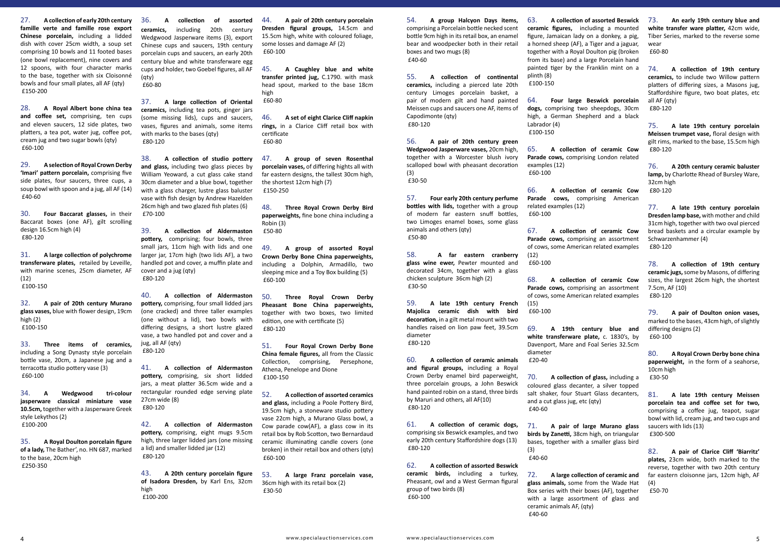27. **A collection of early 20th century famille verte and famille rose export Chinese porcelain,** including a lidded dish with cover 25cm width, a soup set comprising 10 bowls and 11 footed bases (one bowl replacement), nine covers and 12 spoons, with four character marks to the base, together with six Cloisonné bowls and four small plates, all AF (qty) £150-200

28. **A Royal Albert bone china tea and coffee set,** comprising, ten cups and eleven saucers, 12 side plates, two platters, a tea pot, water jug, coffee pot, cream jug and two sugar bowls (qty) £60-100

29. **A selection of Royal Crown Derby 'Imari' pattern porcelain,** comprising five side plates, four saucers, three cups, a soup bowl with spoon and a jug, all AF (14) £40-60

30. **Four Baccarat glasses,** in their Baccarat boxes (one AF), gilt scrolling design 16.5cm high (4) £80-120

31. **A large collection of polychrome transferware plates,** retailed by Leveille, with marine scenes, 25cm diameter, AF (12) £100-150

32. **A pair of 20th century Murano glass vases,** blue with flower design, 19cm high (2) £100-150

33. **Three items of ceramics,** including a Song Dynasty style porcelain bottle vase, 20cm, a Japanese jug and a terracotta studio pottery vase (3) £60-100

34. **A Wedgwood tri-colour jasperware classical miniature vase 10.5cm,** together with a Jasperware Greek style Lekythos (2) £100-200

35. **A Royal Doulton porcelain figure of a lady,** The Bather', no. HN 687, marked to the base, 20cm high £250-350

36. **A collection of assorted ceramics,** including 20th century Wedgwood Jasperware items (3), export Chinese cups and saucers, 19th century porcelain cups and saucers, an early 20th century blue and white transferware egg cups and holder, two Goebel figures, all AF (qty)

£60-80

37. **A large collection of Oriental ceramics,** including tea pots, ginger jars (some missing lids), cups and saucers, vases, figures and animals, some items with marks to the bases (qty) £80-120

38. **A collection of studio pottery and glass,** including two glass pieces by William Yeoward, a cut glass cake stand 30cm diameter and a blue bowl, together with a glass charger, lustre glass baluster vase with fish design by Andrew Hazelden 26cm high and two glazed fish plates (6) £70-100

39. **A collection of Aldermaston pottery,** comprising; four bowls, three small jars, 11cm high with lids and one larger jar, 17cm high (two lids AF), a two handled pot and cover, a muffin plate and cover and a jug (qty) £80-120

40. **A collection of Aldermaston pottery,** comprising, four small lidded jars (one cracked) and three taller examples (one without a lid), two bowls with differing designs, a short lustre glazed vase, a two handled pot and cover and a jug, all AF (qty) £80-120

41. **A collection of Aldermaston pottery,** comprising, six short lidded jars, a meat platter 36.5cm wide and a rectangular rounded edge serving plate 27cm wide (8) £80-120

42. **A collection of Aldermaston pottery,** comprising, eight mugs 9.5cm high, three larger lidded jars (one missing a lid) and smaller lidded jar (12) £80-120

43. **A 20th century porcelain figure of Isadora Dresden,** by Karl Ens, 32cm high £100-200

44. **A pair of 20th century porcelain Dresden figural groups,** 14.5cm and 15.5cm high, white with coloured foliage, some losses and damage AF (2) £60-100

45. **A Caughley blue and white transfer printed jug,** C.1790. with mask head spout, marked to the base 18cm high £60-80

46. **A set of eight Clarice Cliff napkin rings,** in a Clarice Cliff retail box with certificate £60-80

47. **A group of seven Rosenthal porcelain vases,** of differing hights all with far eastern designs, the tallest 30cm high, the shortest 12cm high (7) £150-250

48. **Three Royal Crown Derby Bird paperweights,** fine bone china including a Robin (3) £50-80

49. **A group of assorted Royal Crown Derby Bone China paperweights,** including a Dolphin, Armadillo, two sleeping mice and a Toy Box building (5) £60-100

50. **Three Royal Crown Derby Pheasant Bone China paperweights,** together with two boxes, two limited edition, one with certificate (5) £80-120

51. **Four Royal Crown Derby Bone China female figures,** all from the Classic Collection, comprising, Persephone, Athena, Penelope and Dione £100-150

52. **A collection of assorted ceramics and glass,** including a Poole Pottery Bird, 19.5cm high, a stoneware studio pottery vase 22cm high, a Murano Glass bowl, a Cow parade cow(AF), a glass cow in its retail box by Rob Scotton, two Bernardaud ceramic illuminating candle covers (one broken) in their retail box and others (qty) £60-100

53. **A large Franz porcelain vase,** 36cm high with its retail box (2) £30-50

54. **A group Halcyon Days items,** comprising a Porcelain bottle necked scent bottle 9cm high in its retail box, an enamel bear and woodpecker both in their retail boxes and two mugs (8) £40-60

55. **A collection of continental ceramics,** including a pierced late 20th century Limoges porcelain basket, a pair of modern gilt and hand painted Meissen cups and saucers one AF, items of Capodimonte (qty) £80-120

56. **A pair of 20th century green Wedgwood Jasperware vases,** 20cm high, together with a Worcester blush ivory scalloped bowl with pheasant decoration (3) £30-50

57. **Four early 20th century perfume bottles with lids,** together with a group of modern far eastern snuff bottles, two Limoges enamel boxes, some glass animals and others (qty) £50-80

58. **A far eastern cranberry glass wine ewer,** Pewter mounted and decorated 34cm, together with a glass chicken sculpture 36cm high (2) £30-50

59. **A late 19th century French Majolica ceramic dish with bird decoration,** in a gilt metal mount with two handles raised on lion paw feet, 39.5cm diameter £80-120

60. **A collection of ceramic animals and figural groups,** including a Royal Crown Derby enamel bird paperweight, three porcelain groups, a John Beswick hand painted robin on a stand, three birds by Maruri and others, all AF(10) £80-120

61. **A collection of ceramic dogs,** comprising six Beswick examples, and two early 20th century Staffordshire dogs (13) £80-120

62. **A collection of assorted Beswick ceramic birds,** including a turkey, Pheasant, owl and a West German figural group of two birds (8) £60-100

63. **A collection of assorted Beswick ceramic figures,** including a mounted figure, Jamaican lady on a donkey, a pig, a horned sheep (AF), a Tiger and a jaguar, together with a Royal Doulton pig (broken from its base) and a large Porcelain hand painted tiger by the Franklin mint on a plinth (8) £100-150

64. **Four large Beswick porcelain dogs,** comprising two sheepdogs, 30cm high, a German Shepherd and a black Labrador (4) £100-150

65. **A collection of ceramic Cow Parade cows,** comprising London related examples (12) £60-100

66. **A collection of ceramic Cow Parade cows,** comprising American related examples (12) £60-100

67. **A collection of ceramic Cow Parade cows,** comprising an assortment of cows, some American related examples (12) £60-100

68. **A collection of ceramic Cow Parade cows,** comprising an assortment of cows, some American related examples (15)

£60-100

69. **A 19th century blue and white transferware plate,** c. 1830's, by Davenport, Mare and Foal Series 32.5cm diameter £20-40

70. **A collection of glass,** including a coloured glass decanter, a silver topped salt shaker, four Stuart Glass decanters, and a cut glass jug, etc (qty) £40-60

71. **A pair of large Murano glass birds by Zanetti,** 38cm high, on triangular bases, together with a smaller glass bird (3) £40-60

72. **A large collection of ceramic and glass animals,** some from the Wade Hat Box series with their boxes (AF), together with a large assortment of glass and ceramic animals AF, (qty) £40-60

73. **An early 19th century blue and white transfer ware platter,** 42cm wide, Tiber Series, marked to the reverse some wear £60-80

74. **A collection of 19th century ceramics,** to include two Willow pattern platters of differing sizes, a Masons jug, Staffordshire figure, two boat plates, etc all AF (qty) £80-120

75. **A late 19th century porcelain Meissen trumpet vase,** floral design with gilt rims, marked to the base, 15.5cm high £80-120

76. **A 20th century ceramic baluster lamp,** by Charlotte Rhead of Bursley Ware, 32cm high £80-120

77. **A late 19th century porcelain Dresden lamp base,** with mother and child 31cm high, together with two oval pierced bread baskets and a circular example by Schwarzenhammer (4) £80-120

78. **A collection of 19th century ceramic jugs,** some by Masons, of differing sizes, the largest 26cm high, the shortest 7.5cm, AF (10) £80-120

79. **A pair of Doulton onion vases,** marked to the bases, 43cm high, of slightly differing designs (2) £60-100

80. **A Royal Crown Derby bone china paperweight,** in the form of a seahorse, 10cm high £30-50

81. **A late 19th century Meissen porcelain tea and coffee set for two,** comprising a coffee jug, teapot, sugar bowl with lid, cream jug, and two cups and saucers with lids (13) £300-500

82. **A pair of Clarice Cliff 'Biarritz' plates,** 23cm wide, both marked to the reverse, together with two 20th century far eastern cloisonne jars, 12cm high, AF (4) £50-70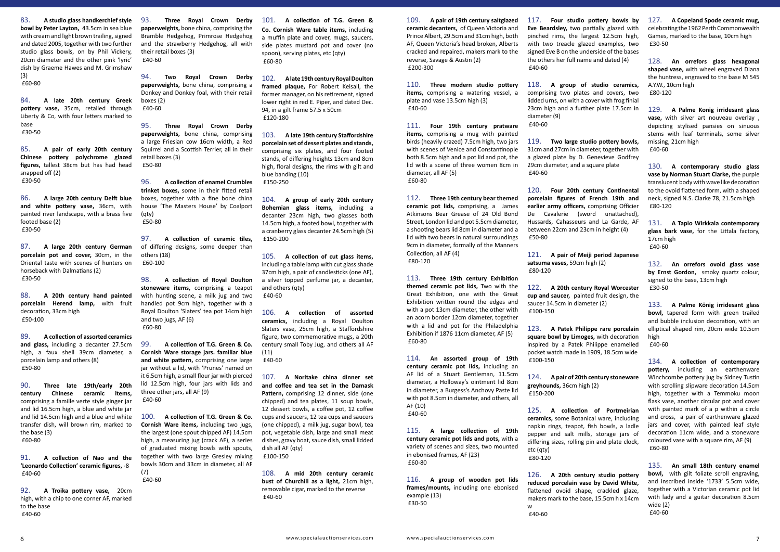83. **A studio glass handkerchief style bowl by Peter Layton,** 43.5cm in sea blue with cream and light brown trailing, signed and dated 2005, together with two further studio glass bowls, on by Phil Vickery, 20cm diameter and the other pink 'lyric' dish by Graeme Hawes and M. Grimshaw (3)

£60-80

84. **A late 20th century Greek pottery vase,** 35cm, retailed through Liberty & Co, with four letters marked to base £30-50

85. **A pair of early 20th century Chinese pottery polychrome glazed figures,** tallest 38cm but has had head snapped off (2) £30-50

86. **A large 20th century Delft blue and white pottery vase,** 36cm, with painted river landscape, with a brass five footed base (2) £30-50

87. **A large 20th century German porcelain pot and cover,** 30cm, in the Oriental taste with scenes of hunters on horseback with Dalmatians (2) £30-50

88. **A 20th century hand painted porcelain Herend lamp,** with fruit decoration, 33cm high £50-100

89. **A collection of assorted ceramics and glass,** including a decanter 27.5cm high, a faux shell 39cm diameter, a porcelain lamp and others (8) £50-80

90. **Three late 19th/early 20th century Chinese ceramic items,** comprising a famille verte style ginger jar and lid 16.5cm high, a blue and white jar and lid 14.5cm high and a blue and white transfer dish, will brown rim, marked to the base (3) £60-80

91. **A collection of Nao and the 'Leonardo Collection' ceramic figures,** -8 £40-60

92. **A Troika pottery vase,** 20cm high, with a chip to one corner AF, marked to the base £40-60

93. **Three Royal Crown Derby paperweights,** bone china, comprising the Bramble Hedgehog, Primrose Hedgehog and the strawberry Hedgehog, all with their retail boxes (3) £40-60

94. **Two Royal Crown Derby paperweights,** bone china, comprising a Donkey and Donkey foal, with their retail boxes (2) £40-60

95. **Three Royal Crown Derby paperweights,** bone china, comprising a large Friesian cow 16cm width, a Red Squirrel and a Scottish Terrier, all in their retail boxes (3) £50-80

96. **A collection of enamel Crumbles trinket boxes,** some in their fitted retail boxes, together with a fine bone china house 'The Masters House' by Coalport (qty) £50-80

97. **A collection of ceramic tiles,** of differing designs, some deeper than others (18) £60-100

98. **A collection of Royal Doulton stoneware items,** comprising a teapot with hunting scene, a milk jug and two handled pot 9cm high, together with a Royal Doulton 'Slaters' tea pot 14cm high and two jugs, AF (6) £60-80

99. **A collection of T.G. Green & Co. Cornish Ware storage jars. familiar blue and white pattern,** comprising one large jar without a lid, with 'Prunes' named on it 6.5cm high, a small flour jar with pierced lid 12.5cm high, four jars with lids and three other jars, all AF (9) £40-60

100. **A collection of T.G. Green & Co. Cornish Ware items,** including two jugs, the largest (one spout chipped AF) 14.5cm high, a measuring jug (crack AF), a series of graduated mixing bowls with spouts, together with two large Gresley mixing bowls 30cm and 33cm in diameter, all AF (7)

£40-60

101. **A collection of T.G. Green & Co. Cornish Ware table items,** including a muffin plate and cover, mugs, saucers, side plates mustard pot and cover (no spoon), serving plates, etc (qty) £60-80

102. **A late 19th century Royal Doulton framed plaque,** For Robert Kelsall, the former manager, on his retirement, signed lower right in red E. Piper, and dated Dec. 94, in a gilt frame 57.5 x 50cm £120-180

103. **A late 19th century Staffordshire porcelain set of dessert plates and stands,** comprising six plates, and four footed stands, of differing heights 13cm and 8cm high, floral designs, the rims with gilt and blue banding (10) £150-250

104. **A group of early 20th century Bohemian glass items,** including a decanter 23cm high, two glasses both 14.5cm high, a footed bowl, together with a cranberry glass decanter 24.5cm high (5) £150-200

105. **A collection of cut glass items,** including a table lamp with cut glass shade 37cm high, a pair of candlesticks (one AF), a silver topped perfume jar, a decanter, and others (qty) £40-60

106. **A collection of assorted ceramics,** including a Royal Doulton Slaters vase, 25cm high, a Staffordshire figure, two commemorative mugs, a 20th century small Toby Jug, and others all AF (11)

£40-60

107. **A Noritake china dinner set and coffee and tea set in the Damask Pattern,** comprising 12 dinner, side (one chipped) and tea plates, 11 soup bowls, 12 dessert bowls, a coffee pot, 12 coffee cups and saucers, 12 tea cups and saucers (one chipped), a milk jug, sugar bowl, tea pot, vegetable dish, large and small meat dishes, gravy boat, sauce dish, small lidded dish all AF (qty) £100-150

108. **A mid 20th century ceramic bust of Churchill as a light,** 21cm high, removable cigar, marked to the reverse £40-60

109. **A pair of 19th century saltglazed ceramic decanters,** of Queen Victoria and Prince Albert, 29.5cm and 31cm high, both AF, Queen Victoria's head broken, Alberts cracked and repaired, makers mark to the reverse, Savage & Austin (2) £200-300

110. **Three modern studio pottery items,** comprising a watering vessel, a plate and vase 13.5cm high (3) £40-60

111. **Four 19th century pratware items,** comprising a mug with painted birds (heavily crazed) 7.5cm high, two jars with scenes of Venice and Constantinople both 8.5cm high and a pot lid and pot, the lid with a scene of three women 8cm in diameter, all AF (5) £60-80

112. **Three 19th century bear themed ceramic pot lids,** comprising, a James Atkinsons Bear Grease of 24 Old Bond Street, London lid and pot 5.5cm diameter, a shooting bears lid 8cm in diameter and a lid with two bears in natural surroundings 9cm in diameter, formally of the Manners Collection, all AF (4) £80-120

113. **Three 19th century Exhibition themed ceramic pot lids,** Two with the Great Exhibition, one with the Great Exhibition written round the edges and with a pot 13cm diameter, the other with an acorn border 12cm diameter, together with a lid and pot for the Philadelphia Exhibition if 1876 11cm diameter, AF (5) £60-80

114. **An assorted group of 19th century ceramic pot lids,** including an AF lid of a Stuart Gentleman, 11.5cm diameter, a Holloway's ointment lid 8cm in diameter, a Burgess's Anchovy Paste lid with pot 8.5cm in diameter, and others, all AF (10) £40-60

115. **A large collection of 19th century ceramic pot lids and pots,** with a variety of scenes and sizes, two mounted in ebonised frames, AF (23) £60-80

116. **A group of wooden pot lids frames/mounts,** including one ebonised example (13) £30-50

117. **Four studio pottery bowls by Eve Beardsley,** two partially glazed with pinched rims, the largest 12.5cm high, with two treacle glazed examples, two signed Eve B on the underside of the bases the others her full name and dated (4)

£40-60

118. **A group of studio ceramics,** comprising two plates and covers, two lidded urns, on with a cover with frog finial 23cm high and a further plate 17.5cm in

diameter (9) £40-60

119. **Two large studio pottery bowls,** 31cm and 27cm in diameter, together with a glazed plate by D. Genevieve Godfrey 29cm diameter, and a square plate

£40-60

120. **Four 20th century Continental porcelain figures of French 19th and earlier army officers,** comprising Officier De Cavalerie (sword unattached), Hussards, Cahasseurs and La Garde, AF between 22cm and 23cm in height (4)

£50-80

121. **A pair of Meiji period Japanese satsuma vases,** 59cm high (2)

£80-120

122. **A 20th century Royal Worcester cup and saucer,** painted fruit design, the saucer 14.5cm in diameter (2)

£100-150

123. **A Patek Philippe rare porcelain square bowl by Limoges,** with decoration inspired by a Patek Philippe enamelled pocket watch made in 1909, 18.5cm wide

£100-150

124. **A pair of 20th century stoneware greyhounds,** 36cm high (2)

£150-200

125. **A collection of Portmeirian ceramics,** some Botanical ware, including napkin rings, teapot, fish bowls, a ladle pepper and salt mills, storage jars of differing sizes, rolling pin and plate clock,

etc (qty) £80-120

126. **A 20th century studio pottery reduced porcelain vase by David White,** flattened ovoid shape, crackled glaze, makers mark to the base, 15.5cm h x 14cm

w £40-60 127. **A Copeland Spode ceramic mug,** celebrating the 1962 Perth Commonwealth Games, marked to the base, 10cm high £30-50

128. **An orrefors glass hexagonal shaped vase,** with wheel engraved Diana the huntress, engraved to the base M 545 A.Y.W., 10cm high £80-120

129. **A Palme Konig irridesant glass vase,** with silver art nouveau overlay , depicting stylised pansies on sinuous stems with leaf terminals, some silver missing, 21cm high £40-60

130. **A contemporary studio glass vase by Norman Stuart Clarke,** the purple translucent body with wave like decoration to the ovoid flattened form, with a shaped neck, signed N.S. Clarke 78, 21.5cm high £80-120

131. **A Tapio Wirkkala contemporary glass bark vase,** for the Littala factory, 17cm high £40-60

132. **An orrefors ovoid glass vase by Ernst Gordon,** smoky quartz colour, signed to the base, 13cm high £30-50

133. **A Palme König irridesant glass bowl,** tapered form with green trailed and bubble inclusion decoration, with an elliptical shaped rim, 20cm wide 10.5cm high £40-60

134. **A collection of contemporary pottery,** including an earthenware Winchcombe pottery jug by Sidney Tustin with scrolling slipware decoration 14.5cm high, together with a Temmoku moon flask vase, another circular pot and cover with painted mark of a p within a circle and cross, a pair of earthenware glazed jars and cover, with painted leaf style decoration 11cm wide, and a stoneware coloured vase with a square rim, AF (9) £60-80

135. **An small 18th century enamel bowl,** with gilt foliate scroll engraving, and inscribed inside '1733' 5.5cm wide, together with a Victorian ceramic pot lid with lady and a guitar decoration 8.5cm wide (2) £40-60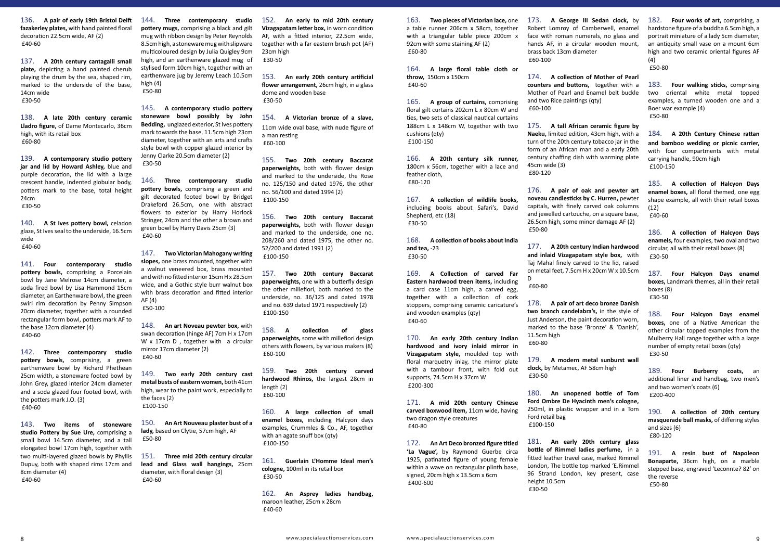136. **A pair of early 19th Bristol Delft fazakerley plates,** with hand painted floral decoration 22.5cm wide, AF (2) £40-60

137. **A 20th century cantagalli small plate,** depicting a hand painted cherub playing the drum by the sea, shaped rim, marked to the underside of the base, 14cm wide £30-50

138. **A late 20th century ceramic Lladro figure,** of Dame Montecarlo, 36cm high, with its retail box £60-80

139. **A contemporary studio pottery jar and lid by Howard Ashley,** blue and purple decoration, the lid with a large crescent handle, indented globular body, potters mark to the base, total height 24cm £30-50

140. **A St Ives pottery bowl,** celadon glaze, St Ives seal to the underside, 16.5cm wide £40-60

141. **Four contemporary studio pottery bowls,** comprising a Porcelain bowl by Jane Melrose 14cm diameter, a soda fired bowl by Lisa Hammond 15cm diameter, an Earthenware bowl, the green swirl rim decoration by Penny Simpson 20cm diameter, together with a rounded rectangular form bowl, potters mark AF to the base 12cm diameter (4) £40-60

142. **Three contemporary studio pottery bowls,** comprising, a green earthenware bowl by Richard Phethean 25cm width, a stoneware footed bowl by John Grey, glazed interior 24cm diameter and a soda glazed four footed bowl, with the potters mark J.O. (3) £40-60

143. **Two items of stoneware studio Pottery by Sue Ure,** comprising a small bowl 14.5cm diameter, and a tall elongated bowl 17cm high, together with two multi-layered glazed bowls by Phyllis Dupuy, both with shaped rims 17cm and 8cm diameter (4) £40-60

144. **Three contemporary studio pottery mugs,** comprising a black and gilt mug with ribbon design by Peter Reynolds 8.5cm high, a stoneware mug with slipware multicoloured design by Julia Quigley 9cm high, and an earthenware glazed mug of stylised form 10cm high, together with an earthenware jug by Jeremy Leach 10.5cm high (4) £50-80

145. **A contemporary studio pottery stoneware bowl possibly by John Bedding,** unglazed exterior, St Ives pottery mark towards the base, 11.5cm high 23cm diameter, together with an arts and crafts style bowl with copper glazed interior by Jenny Clarke 20.5cm diameter (2) £30-50

146. **Three contemporary studio pottery bowls,** comprising a green and gilt decorated footed bowl by Bridget Drakeford 26.5cm, one with abstract flowers to exterior by Harry Horlock Stringer, 24cm and the other a brown and green bowl by Harry Davis 25cm (3) £40-60

164. **A large floral table cloth or throw,** 150cm x 150cm £40-60

147. **Two Victorian Mahogany writing slopes,** one brass mounted, together with a walnut veneered box, brass mounted and with no fitted interior 15cm H x 28.5cm wide, and a Gothic style burr walnut box with brass decoration and fitted interior AF (4) £50-100

148. **An art Noveau pewter box,** with swan decoration (hinge AF) 7cm H x 17cm W x 17cm D, together with a circular mirror 17cm diameter (2) £40-60

149. **Two early 20th century cast metal busts of eastern women,** both 41cm high, wear to the paint work, especially to the faces (2) £100-150

150. **An Art Nouveau plaster bust of a lady,** based on Clytie, 57cm high, AF £50-80

151. **Three mid 20th century circular lead and Glass wall hangings,** 25cm diameter, with floral design (3) £40-60

152. **An early to mid 20th century Vizagapatam letter box,** in worn condition AF, with a fitted interior, 22.5cm wide, together with a far eastern brush pot (AF) 23cm high £30-50

153. **An early 20th century artificial flower arrangement,** 26cm high, in a glass dome and wooden base £30-50

154. **A Victorian bronze of a slave,** 11cm wide oval base, with nude figure of a man resting £60-100

155. **Two 20th century Baccarat paperweights,** both with flower design and marked to the underside, the Rose no. 125/150 and dated 1976, the other no. 56/100 and dated 1994 (2) £100-150

156. **Two 20th century Baccarat paperweights,** both with flower design and marked to the underside, one no. 208/260 and dated 1975, the other no. 52/200 and dated 1991 (2) £100-150

157. **Two 20th century Baccarat paperweights,** one with a butterfly design the other millefiori, both marked to the underside, no. 36/125 and dated 1978 and no. 639 dated 1971 respectively (2) £100-150

158. **A collection of glass paperweights,** some with millefiori design others with flowers, by various makers (8) £60-100

159. **Two 20th century carved hardwood Rhinos,** the largest 28cm in length (2) £60-100

160. **A large collection of small enamel boxes,** including Halcyon days examples, Crummles & Co., AF, together with an agate snuff box (qty) £100-150

161. **Guerlain L'Homme Ideal men's cologne,** 100ml in its retail box £30-50

162. **An Asprey ladies handbag,** maroon leather, 25cm x 28cm £40-60

163. **Two pieces of Victorian lace,** one a table runner 206cm x 58cm, together with a triangular table piece 200cm x 92cm with some staining AF (2) £60-80

165. **A group of curtains,** comprising floral gilt curtains 202cm L x 80cm W and ties, two sets of classical nautical curtains 188cm L x 148cm W, together with two cushions (qty) £100-150

166. **A 20th century silk runner,** 180cm x 56cm, together with a lace and feather cloth, £80-120

167. **A collection of wildlife books,** including books about Safari's, David Shepherd, etc (18) £30-50

168. **A collection of books about India and tea,** -23 £30-50

169. **A Collection of carved Far Eastern hardwood treen items,** including a card case 11cm high, a carved egg, together with a collection of cork stoppers, comprising ceramic caricature's and wooden examples (qty) £40-60

170. **An early 20th century Indian hardwood and ivory inlaid mirror in Vizagapatam style,** moulded top with floral marquetry inlay, the mirror plate with a tambour front, with fold out supports, 74.5cm H x 37cm W £200-300

171. **A mid 20th century Chinese carved boxwood item,** 11cm wide, having two dragon style creatures £40-80

172. **An Art Deco bronzed figure titled 'La Vague',** by Raymond Guerbe circa 1925, patinated figure of young female within a wave on rectangular plinth base, signed, 20cm high x 13.5cm x 6cm £400-600

173. **A George III Sedan clock,** by Robert Lomroy of Camberwell, enamel face with roman numerals, no glass and hands AF, in a circular wooden mount, brass back 13cm diameter £60-100

174. **A collection of Mother of Pearl counters and buttons,** together with a Mother of Pearl and Enamel belt buckle and two Rice paintings (qty) £60-100

175. **A tall African ceramic figure by Naeku,** limited edition, 43cm high, with a turn of the 20th century tobacco jar in the form of an African man and a early 20th century chaffing dish with warming plate 45cm wide (3) £80-120

176. **A pair of oak and pewter art noveau candlesticks by C. Hurren,** pewter capitals, with finely carved oak columns and jewelled cartouche, on a square base, 26.5cm high, some minor damage AF (2) £50-80

177. **A 20th century Indian hardwood and inlaid Vizagapatam style box,** with Taj Mahal finely carved to the lid, raised on metal feet, 7.5cm H x 20cm W x 10.5cm D

£60-80

178. **A pair of art deco bronze Danish two branch candelabra's,** in the style of Just Anderson, the paint decoration worn, marked to the base 'Bronze' & 'Danish', 11.5cm high £60-80

179. **A modern metal sunburst wall clock,** by Metamec, AF 58cm high £30-50

180. **An unopened bottle of Tom Ford Ombre De Hyacinth men's cologne,** 250ml, in plastic wrapper and in a Tom Ford retail bag £100-150

181. **An early 20th century glass bottle of Rimmel ladies perfume,** in a fitted leather travel case, marked Rimmel London, The bottle top marked 'E.Rimmel 96 Strand London, key present, case height 10.5cm £30-50

182. **Four works of art,** comprising, a hardstone figure of a buddha 6.5cm high, a portrait miniature of a lady 5cm diameter, an antiquity small vase on a mount 6cm high and two ceramic oriental figures AF (4)

£50-80

183. **Four walking sticks,** comprising two oriental white metal topped examples, a turned wooden one and a Boer war example (4) £50-80

184. **A 20th Century Chinese rattan and bamboo wedding or picnic carrier,** with four compartments with metal carrying handle, 90cm high £100-150

185. **A collection of Halcyon Days enamel boxes,** all floral themed, one egg shape example, all with their retail boxes  $(12)$ £40-60

186. **A collection of Halcyon Days enamels,** four examples, two oval and two circular, all with their retail boxes (8) £30-50

187. **Four Halcyon Days enamel boxes,** Landmark themes, all in their retail boxes (8) £30-50

188. **Four Halcyon Days enamel boxes,** one of a Native American the other circular topped examples from the Mulberry Hall range together with a large number of empty retail boxes (qty) £30-50

189. **Four Burberry coats,** an additional liner and handbag, two men's and two women's coats (6) £200-400

190. **A collection of 20th century masquerade ball masks,** of differing styles and sizes (6) £80-120

191. **A resin bust of Napoleon Bonaparte,** 36cm high, on a marble stepped base, engraved 'Leconnte? 82' on the reverse £50-80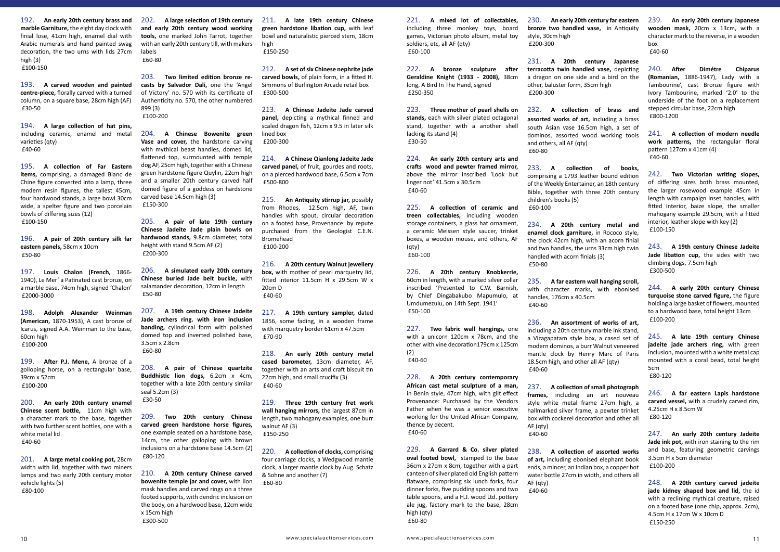192. **An early 20th century brass and marble Garniture,** the eight day clock with finial lose, 41cm high, enamel dial with Arabic numerals and hand painted swag decoration, the two urns with lids 27cm high (3) £100-150

193. **A carved wooden and painted centre-piece,** florally carved with a turned column, on a square base, 28cm high (AF) £30-50

194. **A large collection of hat pins,** including ceramic, enamel and metal varieties (qty) £40-60

195. **A collection of Far Eastern items,** comprising, a damaged Blanc de Chine figure converted into a lamp, three modern resin figures, the tallest 45cm, four hardwood stands, a large bowl 30cm wide, a spelter figure and two porcelain bowls of differing sizes (12) £100-150

196. **A pair of 20th century silk far eastern panels,** 58cm x 10cm £50-80

197. **Louis Chalon (French,** 1866- 1940), Le Mer' a Patinated cast bronze, on a marble base, 74cm high, signed 'Chalon' £2000-3000

198. **Adolph Alexander Weinman (American,** 1870-1953), A cast bronze of Icarus, signed A.A. Weinman to the base, 60cm high £100-200

199. **After P.J. Mene,** A bronze of a golloping horse, on a rectangular base, 39cm x 52cm £100-200

200. **An early 20th century enamel Chinese scent bottle,** 11cm high with a character mark to the base, together with two further scent bottles, one with a white metal lid £40-60

201. **A large metal cooking pot,** 28cm width with lid, together with two miners lamps and two early 20th century motor vehicle lights (5) £80-100

202. **A large selection of 19th century and early 20th century wood working tools,** one marked John Tarrot, together with an early 20th century till, with makers labels £60-80

203. **Two limited edition bronze recasts by Salvador Dali,** one the 'Angel of Victory' no. 570 with its certificate of Authenticity no. 570, the other numbered 899 (3) £100-200

204. **A Chinese Bowenite green Vase and cover,** the hardstone carving with mythical beast handles, domed lid, flattened top, surmounted with temple dog AF, 25cm high, together with a Chinese green hardstone figure Quylin, 22cm high and a smaller 20th century carved half domed figure of a goddess on hardstone carved base 14.5cm high (3) £150-300

205. **A pair of late 19th century Chinese Jadeite Jade plain bowls on hardwood stands,** 9.8cm diameter, total height with stand 9.5cm AF (2) £200-300

206. **A simulated early 20th century Chinese buried Jade belt buckle,** with salamander decoration, 12cm in length £50-80

207. **A 19th century Chinese Jadeite Jade archers ring. with iron inclusion banding,** cylindrical form with polished domed top and inverted polished base, 3.5cm x 2.8cm £60-80

208. **A pair of Chinese quartzite Buddhistic lion dogs,** 6.2cm x 4cm, together with a late 20th century similar seal 5.2cm (3) £30-50

209. **Two 20th century Chinese carved green hardstone horse figures,** one example seated on a hardstone base, 14cm, the other galloping with brown inclusions on a hardstone base 14.5cm (2) £80-120

210. **A 20th century Chinese carved bowenite temple jar and cover,** with lion mask handles and carved rings on a three footed supports, with dendric inclusion on the body, on a hardwood base, 12cm wide x 15cm high £300-500

211. **A late 19th century Chinese green hardstone libation cup,** with leaf bowl and naturalistic pierced stem, 18cm high £150-250

212. **A set of six Chinese nephrite jade carved bowls,** of plain form, in a fitted H. Simmons of Burlington Arcade retail box £300-500

213. **A Chinese Jadeite Jade carved panel,** depicting a mythical finned and scaled dragon fish, 12cm x 9.5 in later silk lined box £200-300

214. **A Chinese Qianlong Jadeite Jade carved panel,** of fruit, gourdes and roots, on a pierced hardwood base, 6.5cm x 7cm £500-800

215. **An Antiquity stirrup jar,** possibly from Rhodes, 12.5cm high, AF, twin handles with spout, circular decoration on a footed base, Provenance: by repute purchased from the Geologist C.E.N. Bromehead £100-200

216. **A 20th century Walnut jewellery box.** with mother of pearl marquetry lid. fitted interior 11.5cm H x 29.5cm W x 20cm D £40-60

217. **A 19th century sampler,** dated 1856, some fading, in a wooden frame with marquetry border 61cm x 47.5cm £70-90

218. **An early 20th century metal cased barometer,** 13cm diameter, AF, together with an arts and craft biscuit tin 22cm high, and small crucifix (3) £40-60

219. **Three 19th century fret work wall hanging mirrors,** the largest 87cm in length, two mahogany examples, one burr walnut AF (3) £150-250

220. **A collection of clocks,** comprising four carriage clocks, a Wedgwood mantle clock, a larger mantle clock by Aug. Schatz & Sohne and another (7) £60-80

221. **A mixed lot of collectables,** including three monkey toys, board games, Victorian photo album, metal toy soldiers, etc, all AF (qty) £60-100

222. **A bronze sculpture after Geraldine Knight (1933 - 2008),** 38cm long, A Bird In The Hand, signed £250-350

223. **Three mother of pearl shells on stands,** each with silver plated octagonal stand, together with a another shell lacking its stand (4) £30-50

224. **An early 20th century arts and crafts wood and pewter framed mirror,** above the mirror inscribed 'Look but linger not' 41.5cm x 30.5cm £40-60

225. **A collection of ceramic and treen collectables,** including wooden storage containers, a glass hat ornament, a ceramic Meissen style saucer, trinket boxes, a wooden mouse, and others, AF (qty) £60-100

226. **A 20th century Knobkerrie,** 60cm in length, with a marked silver collar inscribed 'Presented to C.W. Barnish, by Chief Dingabakubo Mapumulo, at Umdumezulu, on 14th Sept. 1941' £50-100

227. **Two fabric wall hangings,** one with a unicorn 120cm x 78cm, and the other with vine decoration179cm x 125cm (2) £40-60

228. **A 20th century contemporary African cast metal sculpture of a man,** in Benin style, 47cm high, with gilt effect Provenance: Purchased by the Vendors Father when he was a senior executive working for the United African Company, thence by decent. £40-60

229. **A Garrard & Co. silver plated oval footed bowl,** stamped to the base 36cm x 27cm x 8cm, together with a part canteen of silver plated old English pattern flatware, comprising six lunch forks, four dinner forks, five pudding spoons and two table spoons, and a H.J. wood Ltd. pottery ale jug, factory mark to the base, 28cm high (qty) £60-80

230. **An early 20th century far eastern bronze two handled vase,** in Antiquity style, 30cm high £200-300

231. **A 20th century Japanese terracotta twin handled vase,** depicting a dragon on one side and a bird on the other, baluster form, 35cm high £200-300

232. **A collection of brass and assorted works of art,** including a brass south Asian vase 16.5cm high, a set of dominos, assorted wood working tools and others, all AF (qty) £60-80

233. **A collection of books,** comprising a 1793 leather bound edition of the Weekly Entertainer, an 18th century Bible, together with three 20th century children's books (5) £60-100

234. **A 20th century metal and enamel clock garniture,** in Rococo style, the clock 42cm high, with an acorn finial and two handles, the urns 33cm high twin handled with acorn finials (3) £50-80

235. **A far eastern wall hanging scroll,** with character marks, with ebonised handles, 176cm x 40.5cm £40-60

236. **An assortment of works of art,** including a 20th century marble ink stand, a Vizagapatam style box, a cased set of modern dominos, a burr Walnut veneered mantle clock by Henry Marc of Paris 18.5cm high, and other all AF (qty) £40-60

237. **A collection of small photograph frames,** including an art nouveau style white metal frame 27cm high, a hallmarked silver frame, a pewter trinket box with cockerel decoration and other all AF (qty) £40-60

238. **A collection of assorted works of art,** including ebonised elephant book ends, a mincer, an Indian box, a copper hot water bottle 27cm in width, and others all AF (qty) £40-60

239. **An early 20th century Japanese wooden mask,** 20cm x 13cm, with a character mark to the reverse, in a wooden box £40-60

240. **After Dimétre Chiparus (Romanian,** 1886-1947), Lady with a Tambourine', cast Bronze figure with Ivory Tambourine, marked '2.0' to the underside of the foot on a replacement stepped circular base, 22cm high £800-1200

241. **A collection of modern needle work patterns,** the rectangular floral pattern 127cm x 41cm (4) £40-60

242. **Two Victorian writing slopes,** of differing sizes both brass mounted, the larger rosewood example 45cm in length with campaign inset handles, with fitted interior, baize slope, the smaller mahogany example 29.5cm, with a fitted interior, leather slope with key (2) £100-150

243. **A 19th century Chinese Jadeite Jade libation cup,** the sides with two climbing dogs, 7.5cm high £300-500

244. **A early 20th century Chinese turquoise stone carved figure,** the figure holding a large basket of flowers, mounted to a hardwood base, total height 13cm £100-200

245. **A late 19th century Chinese jadeite jade archers ring,** with green inclusion, mounted with a white metal cap mounted with a coral bead, total height 5cm £80-120

246. **A far eastern Lapis hardstone carved vessel,** with a crudely carved rim, 4.25cm H x 8.5cm W £80-120

247. **An early 20th century Jadeite Jade ink pot,** with iron staining to the rim and base, featuring geometric carvings 3.5cm H x 5cm diameter £100-200

248. **A 20th century carved jadeite jade kidney shaped box and lid,** the id with a reclining mythical creature, raised on a footed base (one chip, approx. 2cm), 4.5cm H x 17cm W x 10cm D £150-250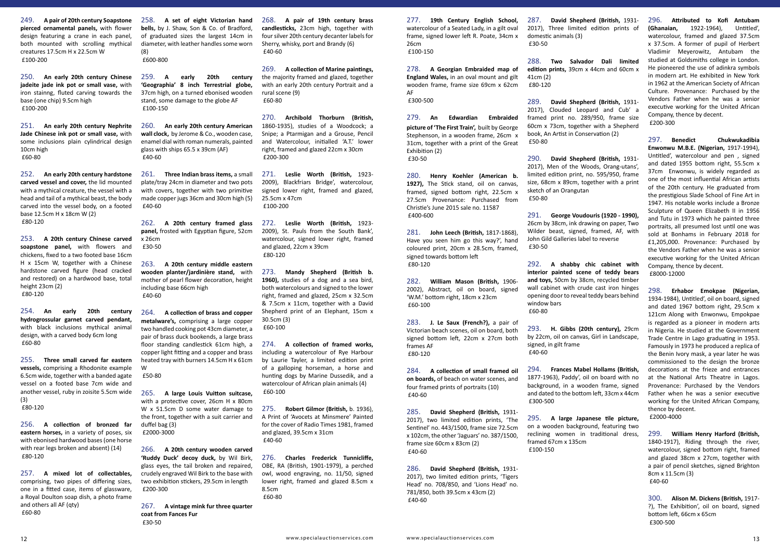249. **A pair of 20th century Soapstone pierced ornamental panels,** with flower design featuring a crane in each panel, both mounted with scrolling mythical creatures 17.5cm H x 22.5cm W £100-200

250. **An early 20th century Chinese jadeite jade ink pot or small vase,** with iron stainng, fluted carving towards the base (one chip) 9.5cm high £100-200

251. **An early 20th century Nephrite Jade Chinese ink pot or small vase,** with some inclusions plain cylindrical design 10cm high £60-80

252. **An early 20th century hardstone carved vessel and cover,** the lid mounted with a mythical creature, the vessel with a head and tail of a mythical beast, the body carved into the vessel body, on a footed base 12.5cm H x 18cm W (2) £80-120

253. **A 20th century Chinese carved soapstone panel,** with flowers and chickens, fixed to a two footed base 16cm H x 15cm W, together with a Chinese hardstone carved figure (head cracked and restored) on a hardwood base, total height 23cm (2) £80-120

254. **An early 20th century hydrogrossular garnet carved pendant,** with black inclusions mythical animal design, with a carved body 6cm long £60-80

255. **Three small carved far eastern vessels,** comprising a Rhodonite example 6.5cm wide, together with a banded agate vessel on a footed base 7cm wide and another vessel, ruby in zoisite 5.5cm wide (3) £80-120

256. **A collection of bronzed far eastern horses,** in a variety of poses, six with ebonised hardwood bases (one horse with rear legs broken and absent) (14) £80-120

257. **A mixed lot of collectables,** comprising, two pipes of differing sizes, one in a fitted case, items of glassware, a Royal Doulton soap dish, a photo frame and others all AF (qty) £60-80

258. **A set of eight Victorian hand bells,** by J. Shaw, Son & Co. of Bradford, of graduated sizes the largest 14cm in diameter, with leather handles some worn (8) £600-800

259. **A early 20th century 'Geographia' 8 inch Terrestrial globe,** 37cm high, on a turned ebonised wooden stand, some damage to the globe AF £100-150

260. **An early 20th century American wall clock,** by Jerome & Co., wooden case, enamel dial with roman numerals, painted glass with ships 65.5 x 39cm (AF) £40-60

261. **Three Indian brass items,** a small plate/tray 24cm in diameter and two pots with covers, together with two primitive made copper jugs 36cm and 30cm high (5) £40-60

262. **A 20th century framed glass panel,** frosted with Egyptian figure, 52cm x 26cm £30-50

263. **A 20th century middle eastern wooden planter/jardinière stand,** with mother of pearl flower decoration, height including base 66cm high £40-60

264. **A collection of brass and copper metalware's,** comprising a large copper two handled cooking pot 43cm diameter, a pair of brass duck bookends, a large brass floor standing candlestick 61cm high, a copper light fitting and a copper and brass heated tray with burners 14.5cm H x 61cm W

£50-80

265. **A large Louis Vuitton suitcase,** with a protective cover, 26cm H x 80cm W x 51.5cm D some water damage to the front, together with a suit carrier and duffel bag (3) £2000-3000

266. **A 20th century wooden carved 'Ruddy Duck' decoy duck,** by Wil Birk, glass eyes, the tail broken and repaired, crudely engraved Wil Birk to the base with two exhibition stickers, 29.5cm in length £200-300

267. **A vintage mink fur three quarter coat from Fances Fur**  £30-50

268. **A pair of 19th century brass candlesticks,** 23cm high, together with four silver 20th century decanter labels for Sherry, whisky, port and Brandy (6) £40-60

269. **A collection of Marine paintings,** the majority framed and glazed, together with an early 20th century Portrait and a rural scene (9) £60-80

270. **Archibold Thorburn (British,** 1860-1935), studies of a Woodcock; a Snipe; a Ptarmigan and a Grouse, Pencil and Watercolour, initialled 'A.T.' lower right, framed and glazed 22cm x 30cm £200-300

271. **Leslie Worth (British,** 1923- 2009), Blackfriars Bridge', watercolour, signed lower right, framed and glazed, 25.5cm x 47cm £100-200

272. **Leslie Worth (British,** 1923- 2009), St. Pauls from the South Bank', watercolour, signed lower right, framed and glazed, 22cm x 39cm £80-120

273. **Mandy Shepherd (British b. 1960),** studies of a dog and a sea bird, both watercolours and signed to the lower right, framed and glazed, 25cm x 32.5cm & 7.5cm x 11cm, together with a David Shepherd print of an Elephant, 15cm x 30.5cm (3) £60-100

274. **A collection of framed works,** including a watercolour of Rye Harbour by Laurie Tayler, a limited edition print of a galloping horseman, a horse and hunting dogs by Marine Dussedik, and a watercolour of African plain animals (4) £60-100

275. **Robert Gilmor (British,** b. 1936), A Print of 'Avocets at Minsmere' Painted for the cover of Radio Times 1981, framed and glazed, 39.5cm x 31cm £40-60

276. **Charles Frederick Tunnicliffe,** OBE, RA (British, 1901-1979), a perched owl, wood engraving, no. 11/50, signed lower right, framed and glazed 8.5cm x 8.5cm £60-80

277. **19th Century English School,** watercolour of a Seated Lady, in a gilt oval frame, signed lower left R. Poate, 34cm x 26cm £100-150

278. **A Georgian Embraided map of England Wales,** in an oval mount and gilt wooden frame, frame size 69cm x 62cm AF £300-500

279. **An Edwardian Embraided picture of 'The First Train',** built by George Stephenson, in a wooden frame, 26cm x 31cm, together with a print of the Great Exhibition (2) £30-50

280. **Henry Koehler (American b. 1927),** The Stick stand, oil on canvas, framed, signed bottom right, 22.5cm x 27.5cm Provenance: Purchased from Christie's June 2015 sale no. 11587 £400-600

281. **John Leech (British,** 1817-1868), Have you seen him go this way?', hand coloured print, 20cm x 28.5cm, framed, signed towards bottom left £80-120

282. **William Mason (British,** 1906- 2002), Abstract, oil on board, signed 'W.M.' bottom right, 18cm x 23cm £60-100

283. **J. Le Saux (French?),** a pair of Victorian beach scenes, oil on board, both signed bottom left, 22cm x 27cm both frames AF £80-120

284. **A collection of small framed oil on boards,** of beach on water scenes, and four framed prints of portraits (10) £40-60

285. **David Shepherd (British,** 1931- 2017), two limited edition prints, 'The Sentinel' no. 443/1500, frame size 72.5cm x 102cm, the other 'Jaguars' no. 387/1500, frame size 60cm x 83cm (2) £40-60

286. **David Shepherd (British,** 1931- 2017), two limited edition prints, 'Tigers Head' no. 708/850, and 'Lions Head' no. 781/850, both 39.5cm x 43cm (2) £40-60

287. **David Shepherd (British,** 1931- 2017), Three limited edition prints of domestic animals (3) £30-50

288. **Two Salvador Dali limited edition prints,** 39cm x 44cm and 60cm x 41cm (2) £80-120

289. **David Shepherd (British,** 1931- 2017), Clouded Leopard and Cub' a framed print no. 289/950, frame size 60cm x 73cm, together with a Shepherd book, An Artist in Conservation (2) £50-80

290. **David Shepherd (British,** 1931- 2017), Men of the Woods, Orang-utans', limited edition print, no. 595/950, frame size, 68cm x 89cm, together with a print sketch of an Orangutan £50-80

291. **George Voudouris (1920 - 1990),** 26cm by 38cm, ink drawing on paper, Two Wilder beast, signed, framed, AF, with John Gild Galleries label to reverse £30-50

292. **A shabby chic cabinet with interior painted scene of teddy bears and toys,** 50cm by 38cm, recycled timber wall cabinet with crude cast iron hinges opening door to reveal teddy bears behind window bars £60-80

293. **H. Gibbs (20th century),** 29cm by 22cm, oil on canvas, Girl in Landscape, signed, in gilt frame £40-60

294. **Frances Mabel Hollams (British,** 1877-1963), Paddy', oil on board with no background, in a wooden frame, signed and dated to the bottom left, 33cm x 44cm £300-500

295. **A large Japanese tile picture,** on a wooden background, featuring two reclining women in traditional dress, framed 67cm x 135cm £100-150

296. **Attributed to Kofi Antubam (Ghanaian, 1922-1964),** watercolour, framed and glazed 37.5cm x 37.5cm. A former of pupil of Herbert Vladimir Meyerowitz, Antubam the studied at Goldsmiths college in London. He pioneered the use of adinkra symbols in modern art. He exhibited in New York in 1962 at the American Society of African Culture. Provenance: Purchased by the Vendors Father when he was a senior executive working for the United African Company, thence by decent. £200-300

297. **Benedict Chukwukadibia Enwonwu M.B.E. (Nigerian,** 1917-1994), Untitled', watercolour and pen , signed and dated 1955 bottom right, 55.5cm x 37cm Enwonwu, is widely regarded as one of the most influential African artists of the 20th century. He graduated from the prestigious Slade School of Fine Art in 1947. His notable works include a Bronze Sculpture of Queen Elizabeth II in 1956 and Tutu in 1973 which he painted three portraits, all presumed lost until one was sold at Bonhams in February 2018 for £1,205,000. Provenance: Purchased by the Vendors Father when he was a senior executive working for the United African Company, thence by decent. £8000-12000

298. **Erhabor Emokpae (Nigerian,** 1934-1984), Untitled', oil on board, signed and dated 1967 bottom right, 29.5cm x 121cm Along with Enwonwu, Empokpae is regarded as a pioneer in modern arts in Nigeria. He studied at the Government Trade Centre in Lago graduating in 1953. Famously in 1973 he produced a replica of the Benin Ivory mask, a year later he was commissioned to the design the bronze decorations at the frieze and entrances at the National Arts Theatre in Lagos. Provenance: Purchased by the Vendors Father when he was a senior executive working for the United African Company, thence by decent. £2000-4000

299. **William Henry Harford (British,** 1840-1917), Riding through the river, watercolour, signed bottom right, framed and glazed 38cm x 27cm, together with a pair of pencil sketches, signed Brighton 8cm x 11.5cm (3) £40-60

300. **Alison M. Dickens (British,** 1917- ?), The Exhibition', oil on board, signed bottom left, 66cm x 65cm £300-500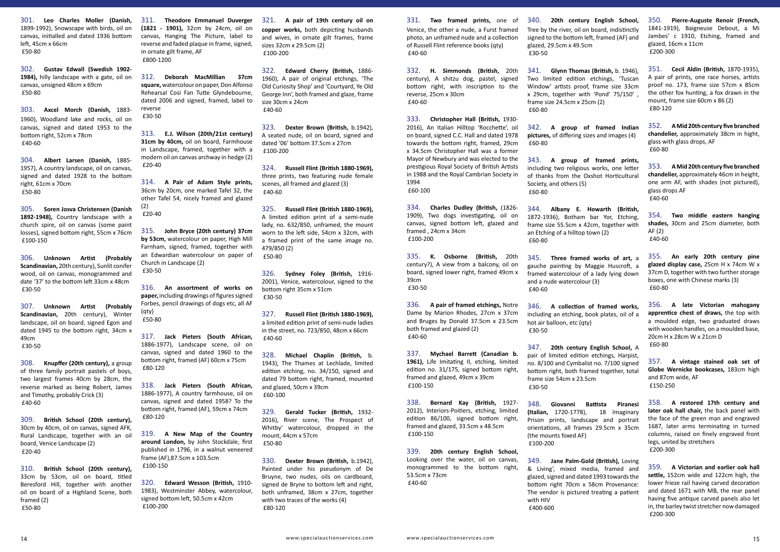301. **Leo Charles Moller (Danish,** 1899-1992), Snowscape with birds, oil on canvas, initialled and dated 1936 bottom left, 45cm x 66cm £50-80

302. **Gustav Edwall (Swedish 1902- 1984),** hilly landscape with a gate, oil on canvas, unsigned 48cm x 69cm £50-80

303. **Axcel Morch (Danish,** 1883- 1960), Woodland lake and rocks, oil on canvas, signed and dated 1953 to the bottom right, 52cm x 78cm £40-60

304. **Albert Larsen (Danish,** 1885- 1957), A country landscape, oil on canvas, signed and dated 1928 to the bottom right, 61cm x 70cm £50-80

305. **Soren Josva Christensen (Danish 1892-1948),** Country landscape with a church spire, oil on canvas (some paint losses), signed bottom right, 55cm x 76cm £100-150

306. **Unknown Artist (Probably Scandinavian,** 20th century), Sunlit conifer wood, oil on canvas, monogrammed and date '37' to the bottom left 33cm x 48cm £30-50

307. **Unknown Artist (Probably Scandinavian,** 20th century), Winter landscape, oil on board, signed Egon and dated 1945 to the bottom right, 34cm x 49cm £30-50

308. **Knupffer (20th century),** a group of three family portrait pastels of boys, two largest frames 40cm by 28cm, the reverse marked as being Robert, James and Timothy, probably Crick (3) £40-60

309. **British School (20th century),** 30cm by 40cm, oil on canvas, signed AFK, Rural Landscape, together with an oil board, Venice Landscape (2) £20-40

310. **British School (20th century),** 33cm by 53cm, oil on board, titled Beresford Hill, together with another oil on board of a Highland Scene, both framed (2) £50-80

311. **Theodore Emmanuel Duverger (1821 - 1901),** 32cm by 24cm, oil on canvas, Hanging The Picture, label to reverse and faded plaque in frame, signed, in ornate gilt frame, AF £800-1200

312. **Deborah MacMillian 37cm square,** watercolour on paper, Don Alfonso Rehearsal Cosi Fan Tutte Glyndebourne, dated 2006 and signed, framed, label to reverse £30-50

313. **E.J. Wilson (20th/21st century) 31cm by 40cm,** oil on board, Farmhouse in Landscape, framed, together with a modern oil on canvas archway in hedge (2) £20-40

314. **A Pair of Adam Style prints,** 36cm by 20cm, one marked Tafel 32, the other Tafel 54, nicely framed and glazed (2)

£20-40

315. **John Bryce (20th century) 37cm by 53cm,** watercolour on paper, High Mill Farnham, signed, framed, together with an Edwardian watercolour on paper of Church in Landscape (2) £30-50

316. **An assortment of works on paper,** including drawings of figures signed Forbes, pencil drawings of dogs etc, all AF

(qty) £50-80

317. **Jack Pieters (South African,** 1886-1977), Landscape scene, oil on canvas, signed and dated 1960 to the £80-120

bottom right, framed (AF) 60cm x 75cm

318. **Jack Pieters (South African,** 1886-1977), A country farmhouse, oil on canvas, signed and dated 1958? To the bottom right, framed (AF), 59cm x 74cm £80-120

319. **A New Map of the Country around London,** by John Stockdale, first published in 1796, in a walnut veneered frame (AF),87.5cm x 103.5cm £100-150

320. **Edward Wesson (British,** 1910- 1983), Westminster Abbey, watercolour, signed bottom left, 50.5cm x 42cm £100-200

321. **A pair of 19th century oil on copper works,** both depicting husbands and wives, in ornate gilt frames, frame sizes 32cm x 29.5cm (2) £100-200

322. **Edward Cherry (British,** 1886- 1960), A pair of original etchings, 'The Old Curiosity Shop' and 'Courtyard, Ye Old George Inn', both framed and glaze, frame size 30cm x 24cm £40-60

323. **Dexter Brown (British,** b.1942), A seated nude, oil on board, signed and dated '06' bottom 37.5cm x 27cm £100-200

324. **Russell Flint (British 1880-1969),** three prints, two featuring nude female scenes, all framed and glazed (3) £40-60

325. **Russell Flint (British 1880-1969),** A limited edition print of a semi-nude lady, no. 632/850, unframed, the mount worn to the left side, 54cm x 32cm, with a framed print of the same image no. 479/850 (2) £50-80

326. **Sydney Foley (British,** 1916- 2001), Venice, watercolour, signed to the bottom right 35cm x 51cm £30-50

327. **Russell Flint (British 1880-1969),** a limited edition print of semi-nude ladies in the street, no. 723/850, 48cm x 66cm £40-60

328. **Michael Chaplin (British,** b. 1943), The Thames at Lechlade, limited edition etching, no. 34/150, signed and dated 79 bottom right, framed, mounted and glazed, 50cm x 39cm £60-100

329. **Gerald Tucker (British,** 1932- 2016), River scene, The Prospect of Whitby' watercolour, dropped in the mount, 44cm x 57cm £50-80

330. **Dexter Brown (British,** b.1942), Painted under his pseudonym of De Bruyne, two nudes, oils on cardboard, signed de Bryne to bottom left and right, both unframed, 38cm x 27cm, together with two traces of the works (4) £80-120

331. **Two framed prints,** one of Venice, the other a nude, a Furst framed photo, an unframed nude and a collection of Russell Flint reference books (qty) £40-60

332. **H. Simmonds (British,** 20th century), A shitzu dog, pastel, signed bottom right, with inscription to the reverse, 25cm x 30cm £40-60

333. **Christopher Hall (British,** 1930- 2016), An Italian Hilltop 'Rocchette', oil on board, signed C.C. Hall and dated 1978 towards the bottom right, framed, 29cm x 34.5cm Christopher Hall was a former Mayor of Newbury and was elected to the prestigious Royal Society of British Artists in 1988 and the Royal Cambrian Society in 1994 £60-100

334. **Charles Dudley (British,** (1826- 1909), Two dogs investigating, oil on canvas, signed bottom left, glazed and framed , 24cm x 34cm £100-200

335. **K. Osborne (British,** 20th century?), A view from a balcony, oil on board, signed lower right, framed 49cm x 39cm £30-50

336. **A pair of framed etchings,** Notre Dame by Marion Rhodes, 27cm x 37cm and Bruges by Donald 37.5cm x 23.5cm both framed and glazed (2) £40-60

337. **Mychael Barrett (Canadian b.**  1961), Life Imitating II, etching, limited edition no. 31/175, signed bottom right, framed and glazed, 49cm x 39cm £100-150

338. **Bernard Kay (British,** 1927- 2012), Interiors-Poitiers, etching, limited edition 86/100, signed bottom right, framed and glazed, 33.5cm x 48.5cm £100-150

339. **20th century English School,** Looking over the water, oil on canvas, monogrammed to the bottom right, 53.5cm x 73cm £40-60

340. **20th century English School,** Tree by the river, oil on board, indistinctly signed to the bottom left, framed (AF) and glazed, 29.5cm x 49.5cm £30-50

341. **Glynn Thomas (British,** b. 1946), Two limited edition etchings, 'Tuscan Window' artists proof, frame size 33cm x 29cm, together with 'Pond' 75/150' , frame size 24.5cm x 25cm (2) £60-80

342. **A group of framed Indian pictures,** of differing sizes and images (4) £60-80

343. **A group of framed prints,** including two religious works, one letter of thanks from the Oxshot Horticultural Society, and others (5) £60-80

344. **Albany E. Howarth (British,** 1872-1936), Botham bar Yor, Etching, frame size 55.5cm x 42cm, together with an Etching of a hilltop town (2) £60-80

345. **Three framed works of art,** a gauche painting by Maggie Huscroft, a framed watercolour of a lady lying down and a nude watercolour (3) £40-60

346. **A collection of framed works,** including an etching, book plates, oil of a hot air balloon, etc (qty) £30-50

347. **20th century English School,** A pair of limited edition etchings, Harpist, no. 8/100 and Cymbalist no. 7/100 signed bottom right, both framed together, total frame size 54cm x 23.5cm £30-50

348. **Giovanni Battista Piranesi (Italian,** 1720-1778), 18 Imaginary Prison prints, landscape and portrait orientations, all frames 29.5cm x 35cm (the mounts foxed AF) £100-200

349. **Jane Palm-Gold (British),** Loving & Living', mixed media, framed and glazed, signed and dated 1993 towards the bottom right 70cm x 58cm Provenance: The vendor is pictured treating a patient with HIV £400-600

350. **Pierre-Auguste Renoir (French,** 1841-1919), Baigneuse Debout, a Mi Jambes' c 1910, Etching, framed and

glazed, 16cm x 11cm

£200-300

351. **Cecil Aldin (British,** 1870-1935), A pair of prints, one race horses, artists proof no. 173, frame size 57cm x 85cm the other fox hunting, a fox drawn in the

mount, frame size 60cm x 86 (2)

£80-120

352. **A Mid 20th century five branched chandelier,** approximately 38cm in hight,

glass with glass drops, AF

£60-80

353. **A Mid 20th century five branched chandelier,** approximately 46cm in height, one arm AF, with shades (not pictured), glass drops AF £40-60

354. **Two middle eastern hanging shades,** 30cm and 25cm diameter, both AF (2) £40-60

355. **An early 20th century pine glazed display case,** 25cm H x 74cm W x 37cm D, together with two further storage boxes, one with Chinese marks (3) £60-80

356. **A late Victorian mahogany apprentice chest of draws,** the top with a moulded edge, two graduated draws with wooden handles, on a moulded base, 20cm H x 28cm W x 21cm D £60-80

357. **A vintage stained oak set of Globe Wernicke bookcases,** 183cm high and 87cm wide, AF £150-250

358. **A restored 17th century and later oak hall chair,** the back panel with the face of the green man and engraved 1687, later arms terminating in turned columns, raised on finely engraved front legs, united by stretchers £200-300

359. **A Victorian and earlier oak hall settle,** 152cm wide and 122cm high, the lower frieze rail having carved decoration and dated 1671 with MB, the rear panel having five antique carved panels also let in, the barley twist stretcher now damaged £200-300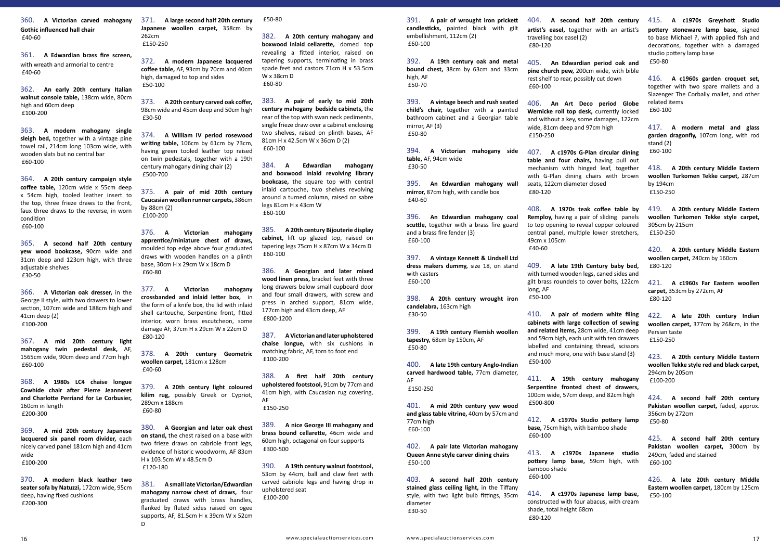360. **A Victorian carved mahogany Gothic influenced hall chair**  £40-60

361. **A Edwardian brass fire screen,** with wreath and armorial to centre £40-60

362. **An early 20th century Italian walnut console table,** 138cm wide, 80cm high and 60cm deep £100-200

363. **A modern mahogany single sleigh bed,** together with a vintage pine towel rail, 214cm long 103cm wide, with wooden slats but no central bar £60-100

364. **A 20th century campaign style coffee table,** 120cm wide x 55cm deep x 54cm high, tooled leather insert to the top, three frieze draws to the front, faux three draws to the reverse, in worn condition £60-100

365. **A second half 20th century yew wood bookcase,** 90cm wide and 31cm deep and 123cm high, with three adjustable shelves £30-50

366. **A Victorian oak dresser,** in the George II style, with two drawers to lower section, 107cm wide and 188cm high and 41cm deep (2) £100-200

367. **A mid 20th century light mahogany twin pedestal desk,** AF, 1565cm wide, 90cm deep and 77cm high £60-100

368. **A 1980s LC4 chaise longue Cowhide chair after Pierre Jeanneret and Charlotte Perriand for Le Corbusier,** 160cm in length £200-300

369. **A mid 20th century Japanese lacquered six panel room divider,** each nicely carved panel 181cm high and 41cm wide £100-200

370. **A modern black leather two seater sofa by Natuzzi,** 172cm wide, 95cm deep, having fixed cushions £200-300

371. **A large second half 20th century Japanese woollen carpet,** 358cm by 262cm £150-250

372. **A modern Japanese lacquered coffee table,** AF, 93cm by 70cm and 40cm high, damaged to top and sides £50-100

373. **A 20th century carved oak coffer,** 98cm wide and 45cm deep and 50cm high £30-50

374. **A William IV period rosewood writing table,** 106cm by 61cm by 73cm, having green tooled leather top raised on twin pedestals, together with a 19th century mahogany dining chair (2) £500-700

375. **A pair of mid 20th century Caucasian woollen runner carpets,** 386cm by 88cm (2) £100-200

376. **A Victorian mahogany apprentice/miniature chest of draws,** moulded top edge above four graduated draws with wooden handles on a plinth base, 30cm H x 29cm W x 18cm D £60-80

377. **A Victorian mahogany crossbanded and inlaid letter box,** in the form of a knife box, the lid with inlaid shell cartouche, Serpentine front, fitted interior, worn brass escutcheon, some damage AF, 37cm H x 29cm W x 22cm D £80-120

378. **A 20th century Geometric woollen carpet,** 181cm x 128cm £40-60

379. **A 20th century light coloured kilim rug,** possibly Greek or Cypriot, 289cm x 188cm £60-80

380. **A Georgian and later oak chest on stand,** the chest raised on a base with two frieze draws on cabriole front legs, evidence of historic woodworm, AF 83cm H x 103.5cm W x 48.5cm D £120-180

381. **A small late Victorian/Edwardian mahogany narrow chest of draws,** four graduated draws with brass handles, flanked by fluted sides raised on ogee supports, AF, 81.5cm H x 39cm W x 52cm D

£50-80

382. **A 20th century mahogany and boxwood inlaid cellarette,** domed top revealing a fitted interior, raised on tapering supports, terminating in brass spade feet and castors 71cm H x 53.5cm W x 38cm D £60-80

383. **A pair of early to mid 20th century mahogany bedside cabinets,** the rear of the top with swan neck pediments, single frieze draw over a cabinet enclosing two shelves, raised on plinth bases, AF 81cm H x 42.5cm W x 36cm D (2) £60-100

384. **A Edwardian mahogany and boxwood inlaid revolving library bookcase,** the square top with central inlaid cartouche, two shelves revolving around a turned column, raised on sabre legs 81cm H x 43cm W £60-100

385. **A 20th century Bijouterie display cabinet,** lift up glazed top, raised on tapering legs 75cm H x 87cm W x 34cm D £60-100

386. **A Georgian and later mixed wood linen press,** bracket feet with three long drawers below small cupboard door and four small drawers, with screw and press in arched support, 81cm wide, 177cm high and 43cm deep, AF £800-1200

387. **A Victorian and later upholstered chaise longue,** with six cushions in matching fabric, AF, torn to foot end £100-200

388. **A first half 20th century upholstered footstool,** 91cm by 77cm and 41cm high, with Caucasian rug covering, AF £150-250

389. **A nice George III mahogany and brass bound cellarette,** 46cm wide and 60cm high, octagonal on four supports £300-500

390. **A 19th century walnut footstool,** 53cm by 44cm, ball and claw feet with carved cabriole legs and having drop in upholstered seat £100-200

391. **A pair of wrought iron prickett candlesticks,** painted black with gilt embellishment, 112cm (2) £60-100

392. **A 19th century oak and metal bound chest,** 38cm by 63cm and 33cm high, AF £50-70

393. **A vintage beech and rush seated child's chair,** together with a painted bathroom cabinet and a Georgian table mirror, AF (3) £50-80

394. **A Victorian mahogany side table,** AF, 94cm wide £30-50

395. **An Edwardian mahogany wall mirror,** 87cm high, with candle box £40-60

396. **An Edwardian mahogany coal scuttle,** together with a brass fire guard and a brass fire fender (3) £60-100

397. **A vintage Kennett & Lindsell Ltd dress makers dummy,** size 18, on stand with casters £60-100

398. **A 20th century wrought iron candelabra,** 163cm high £30-50

399. **A 19th century Flemish woollen tapestry,** 68cm by 150cm, AF £50-80

400. **A late 19th century Anglo-Indian carved hardwood table,** 77cm diameter, AF £150-250

401. **A mid 20th century yew wood and glass table vitrine,** 40cm by 57cm and 77cm high £60-100

402. **A pair late Victorian mahogany Queen Anne style carver dining chairs**  £50-100

403. **A second half 20th century stained glass ceiling light,** in the Tiffany style, with two light bulb fittings, 35cm diameter £30-50

404. **A second half 20th century artist's easel,** together with an artist's travelling box easel (2) £80-120

405. **An Edwardian period oak and pine church pew,** 200cm wide, with bible rest shelf to rear, possibly cut down £60-100

406. **An Art Deco period Globe Wernicke roll top desk,** currently locked and without a key, some damages, 122cm wide, 81cm deep and 97cm high £150-250

407. **A c1970s G-Plan circular dining table and four chairs,** having pull out mechanism with hinged leaf, together with G-Plan dining chairs with brown seats, 122cm diameter closed £80-120

408. **A 1970s teak coffee table by Remploy,** having a pair of sliding panels to top opening to reveal copper coloured central panel, multiple lower stretchers, 49cm x 105cm £40-60

409. **A late 19th Century baby bed,** with turned wooden legs, caned sides and gilt brass roundels to cover bolts, 122cm long, AF £50-100

410. **A pair of modern white filing cabinets with large collection of sewing and related items,** 28cm wide, 41cm deep and 59cm high, each unit with ten drawers labelled and containing thread, scissors and much more, one with base stand (3) £50-100

411. **A 19th century mahogany Serpentine fronted chest of drawers,** 100cm wide, 57cm deep, and 82cm high £500-800

412. **A c1970s Studio pottery lamp base,** 75cm high, with bamboo shade £60-100

413. **A c1970s Japanese studio pottery lamp base,** 59cm high, with bamboo shade £60-100

414. **A c1970s Japanese lamp base,** constructed with four abacus, with cream shade, total height 68cm £80-120

415. **A c1970s Greyshott Studio pottery stoneware lamp base,** signed to base Michael ?, with applied fish and decorations, together with a damaged studio pottery lamp base £50-80

416. **A c1960s garden croquet set,** together with two spare mallets and a Slazenger The Corbally mallet, and other related items £60-100

417. **A modern metal and glass garden dragonfly,** 107cm long, with rod stand (2) £60-100

418. **A 20th century Middle Eastern woollen Turkomen Tekke carpet,** 287cm by 194cm £150-250

419. **A 20th century Middle Eastern woollen Turkomen Tekke style carpet,** 305cm by 215cm £150-250

420. **A 20th century Middle Eastern woollen carpet,** 240cm by 160cm £80-120

421. **A c1960s Far Eastern woollen carpet,** 353cm by 272cm, AF £80-120

422. **A late 20th century Indian woollen carpet,** 377cm by 268cm, in the Persian taste £150-250

423. **A 20th century Middle Eastern woollen Tekke style red and black carpet,** 294cm by 205cm £100-200

424. **A second half 20th century Pakistan woollen carpet,** faded, approx. 356cm by 272cm £50-80

425. **A second half 20th century Pakistan woollen carpet,** 300cm by 249cm, faded and stained £60-100

426. **A late 20th century Middle Eastern woollen carpet,** 180cm by 125cm £50-100